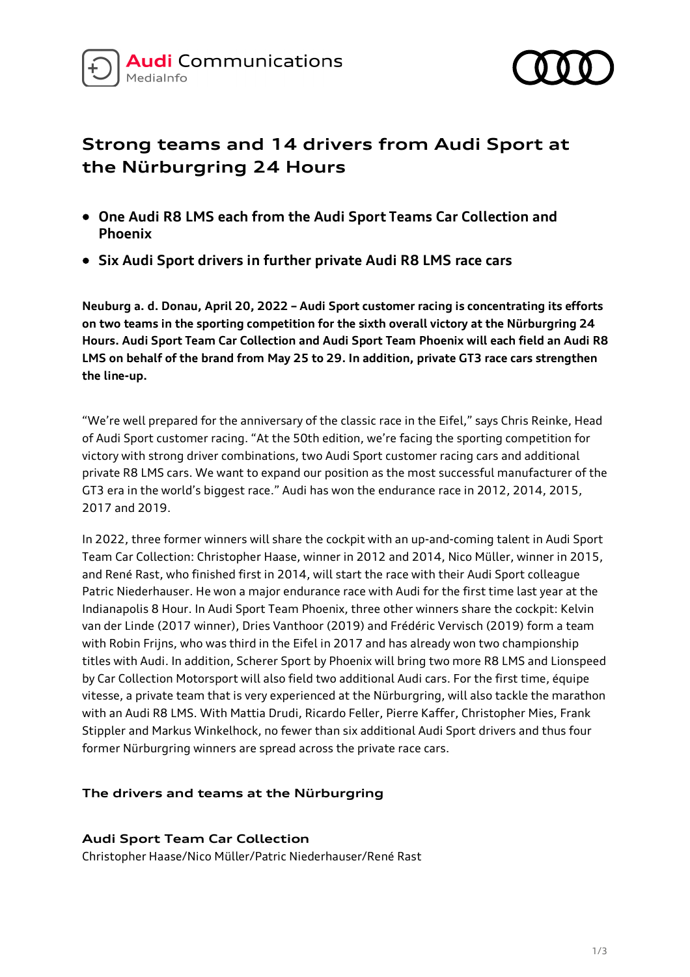



## **Strong teams and 14 drivers from Audi Sport at the Nürburgring 24 Hours**

- **One Audi R8 LMS each from the Audi Sport Teams Car Collection and Phoenix**
- **Six Audi Sport drivers in further private Audi R8 LMS race cars**

**Neuburg a. d. Donau, April 20, 2022 – Audi Sport customer racing is concentrating its efforts on two teams in the sporting competition for the sixth overall victory at the Nürburgring 24 Hours. Audi Sport Team Car Collection and Audi Sport Team Phoenix will each field an Audi R8 LMS on behalf of the brand from May 25 to 29. In addition, private GT3 race cars strengthen the line-up.**

"We're well prepared for the anniversary of the classic race in the Eifel," says Chris Reinke, Head of Audi Sport customer racing. "At the 50th edition, we're facing the sporting competition for victory with strong driver combinations, two Audi Sport customer racing cars and additional private R8 LMS cars. We want to expand our position as the most successful manufacturer of the GT3 era in the world's biggest race." Audi has won the endurance race in 2012, 2014, 2015, 2017 and 2019.

In 2022, three former winners will share the cockpit with an up-and-coming talent in Audi Sport Team Car Collection: Christopher Haase, winner in 2012 and 2014, Nico Müller, winner in 2015, and René Rast, who finished first in 2014, will start the race with their Audi Sport colleague Patric Niederhauser. He won a major endurance race with Audi for the first time last year at the Indianapolis 8 Hour. In Audi Sport Team Phoenix, three other winners share the cockpit: Kelvin van der Linde (2017 winner), Dries Vanthoor (2019) and Frédéric Vervisch (2019) form a team with Robin Frijns, who was third in the Eifel in 2017 and has already won two championship titles with Audi. In addition, Scherer Sport by Phoenix will bring two more R8 LMS and Lionspeed by Car Collection Motorsport will also field two additional Audi cars. For the first time, équipe vitesse, a private team that is very experienced at the Nürburgring, will also tackle the marathon with an Audi R8 LMS. With Mattia Drudi, Ricardo Feller, Pierre Kaffer, Christopher Mies, Frank Stippler and Markus Winkelhock, no fewer than six additional Audi Sport drivers and thus four former Nürburgring winners are spread across the private race cars.

## **The drivers and teams at the Nürburgring**

**Audi Sport Team Car Collection** Christopher Haase/Nico Müller/Patric Niederhauser/René Rast